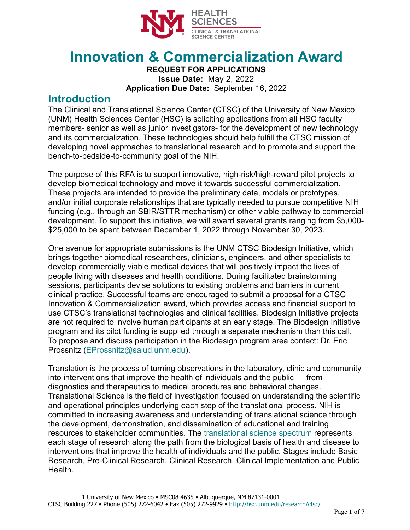

# **Innovation & Commercialization Award**

**REQUEST FOR APPLICATIONS Issue Date:** May 2, 2022 **Application Due Date:** September 16, 2022

#### **Introduction**

The Clinical and Translational Science Center (CTSC) of the University of New Mexico (UNM) Health Sciences Center (HSC) is soliciting applications from all HSC faculty members- senior as well as junior investigators- for the development of new technology and its commercialization. These technologies should help fulfill the CTSC mission of developing novel approaches to translational research and to promote and support the bench-to-bedside-to-community goal of the NIH.

The purpose of this RFA is to support innovative, high-risk/high-reward pilot projects to develop biomedical technology and move it towards successful commercialization. These projects are intended to provide the preliminary data, models or prototypes, and/or initial corporate relationships that are typically needed to pursue competitive NIH funding (e.g., through an SBIR/STTR mechanism) or other viable pathway to commercial development. To support this initiative, we will award several grants ranging from \$5,000- \$25,000 to be spent between December 1, 2022 through November 30, 2023.

One avenue for appropriate submissions is the UNM CTSC Biodesign Initiative, which brings together biomedical researchers, clinicians, engineers, and other specialists to develop commercially viable medical devices that will positively impact the lives of people living with diseases and health conditions. During facilitated brainstorming sessions, participants devise solutions to existing problems and barriers in current clinical practice. Successful teams are encouraged to submit a proposal for a CTSC Innovation & Commercialization award, which provides access and financial support to use CTSC's translational technologies and clinical facilities. Biodesign Initiative projects are not required to involve human participants at an early stage. The Biodesign Initiative program and its pilot funding is supplied through a separate mechanism than this call. To propose and discuss participation in the Biodesign program area contact: Dr. Eric Prossnitz [\(EProssnitz@salud.unm.edu\)](mailto:EProssnitz@salud.unm.edu).

Translation is the process of turning observations in the laboratory, clinic and community into interventions that improve the health of individuals and the public — from diagnostics and therapeutics to medical procedures and behavioral changes. Translational Science is the field of investigation focused on understanding the scientific and operational principles underlying each step of the translational process. NIH is committed to increasing awareness and understanding of translational science through the development, demonstration, and dissemination of educational and training resources to stakeholder communities. The [translational science spectrum](https://ncats.nih.gov/translation/spectrum) represents each stage of research along the path from the biological basis of health and disease to interventions that improve the health of individuals and the public. Stages include Basic Research, Pre-Clinical Research, Clinical Research, Clinical Implementation and Public Health.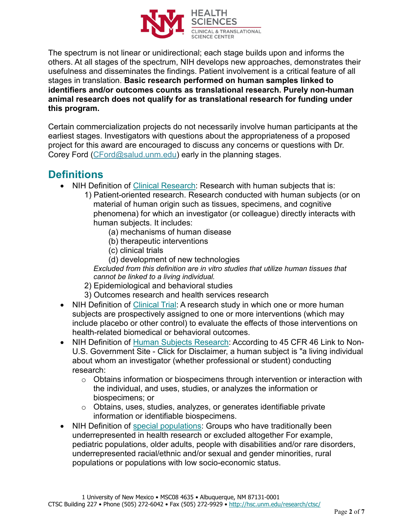

The spectrum is not linear or unidirectional; each stage builds upon and informs the others. At all stages of the spectrum, NIH develops new approaches, demonstrates their usefulness and disseminates the findings. Patient involvement is a critical feature of all stages in translation. **Basic research performed on human samples linked to identifiers and/or outcomes counts as translational research. Purely non-human animal research does not qualify for as translational research for funding under this program.**

Certain commercialization projects do not necessarily involve human participants at the earliest stages. Investigators with questions about the appropriateness of a proposed project for this award are encouraged to discuss any concerns or questions with Dr. Corey Ford [\(CFord@salud.unm.edu\)](mailto:CFord@salud.unm.edu) early in the planning stages.

#### **Definitions**

- NIH Definition of [Clinical Research:](https://grants.nih.gov/grants/glossary.htm#C) Research with human subjects that is:
	- 1) Patient-oriented research. Research conducted with human subjects (or on material of human origin such as tissues, specimens, and cognitive phenomena) for which an investigator (or colleague) directly interacts with human subjects. It includes:
		- (a) mechanisms of human disease
		- (b) therapeutic interventions
		- (c) clinical trials
		- (d) development of new technologies

*Excluded from this definition are in vitro studies that utilize human tissues that cannot be linked to a living individual.*

- 2) Epidemiological and behavioral studies
- 3) Outcomes research and health services research
- NIH Definition of [Clinical Trial:](https://grants.nih.gov/policy/clinical-trials/definition.htm) A research study in which one or more human subjects are prospectively assigned to one or more interventions (which may include placebo or other control) to evaluate the effects of those interventions on health-related biomedical or behavioral outcomes.
- NIH Definition of [Human Subjects Research:](https://grants.nih.gov/policy/humansubjects/research.htm) According to 45 CFR 46 Link to Non-U.S. Government Site - Click for Disclaimer, a human subject is "a living individual about whom an investigator (whether professional or student) conducting research:
	- $\circ$  Obtains information or biospecimens through intervention or interaction with the individual, and uses, studies, or analyzes the information or biospecimens; or
	- o Obtains, uses, studies, analyzes, or generates identifiable private information or identifiable biospecimens.
- NIH Definition of [special populations:](https://grants.nih.gov/grants/guide/notice-files/NOT-OD-20-031.html) Groups who have traditionally been underrepresented in health research or excluded altogether For example, pediatric populations, older adults, people with disabilities and/or rare disorders, underrepresented racial/ethnic and/or sexual and gender minorities, rural populations or populations with low socio-economic status.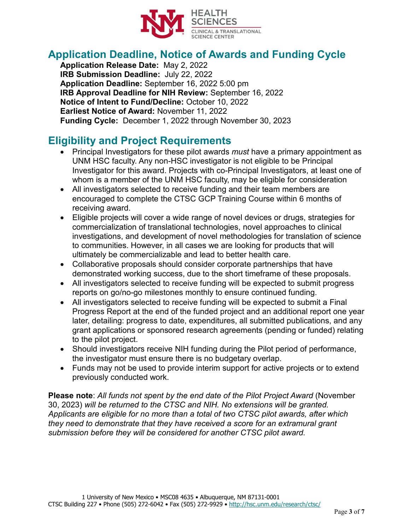

# **Application Deadline, Notice of Awards and Funding Cycle**

**Application Release Date:** May 2, 2022 **IRB Submission Deadline:** July 22, 2022 **Application Deadline:** September 16, 2022 5:00 pm **IRB Approval Deadline for NIH Review:** September 16, 2022 **Notice of Intent to Fund/Decline:** October 10, 2022 **Earliest Notice of Award:** November 11, 2022 **Funding Cycle:** December 1, 2022 through November 30, 2023

## **Eligibility and Project Requirements**

- Principal Investigators for these pilot awards *must* have a primary appointment as UNM HSC faculty. Any non-HSC investigator is not eligible to be Principal Investigator for this award. Projects with co-Principal Investigators, at least one of whom is a member of the UNM HSC faculty, may be eligible for consideration
- All investigators selected to receive funding and their team members are encouraged to complete the CTSC GCP Training Course within 6 months of receiving award.
- Eligible projects will cover a wide range of novel devices or drugs, strategies for commercialization of translational technologies, novel approaches to clinical investigations, and development of novel methodologies for translation of science to communities. However, in all cases we are looking for products that will ultimately be commercializable and lead to better health care.
- Collaborative proposals should consider corporate partnerships that have demonstrated working success, due to the short timeframe of these proposals.
- All investigators selected to receive funding will be expected to submit progress reports on go/no-go milestones monthly to ensure continued funding.
- All investigators selected to receive funding will be expected to submit a Final Progress Report at the end of the funded project and an additional report one year later, detailing: progress to date, expenditures, all submitted publications, and any grant applications or sponsored research agreements (pending or funded) relating to the pilot project.
- Should investigators receive NIH funding during the Pilot period of performance, the investigator must ensure there is no budgetary overlap.
- Funds may not be used to provide interim support for active projects or to extend previously conducted work.

**Please note**: *All funds not spent by the end date of the Pilot Project Award* (November 30, 2023) *will be returned to the CTSC and NIH. No extensions will be granted. Applicants are eligible for no more than a total of two CTSC pilot awards, after which they need to demonstrate that they have received a score for an extramural grant submission before they will be considered for another CTSC pilot award.*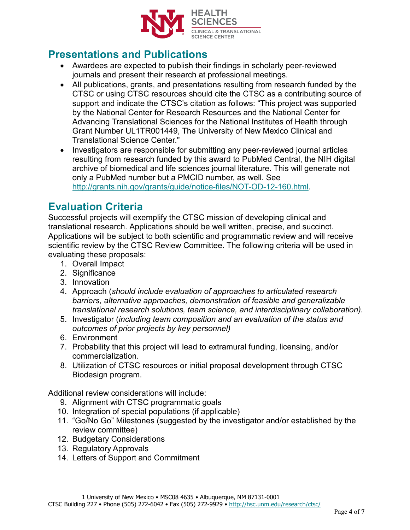

#### **Presentations and Publications**

- Awardees are expected to publish their findings in scholarly peer-reviewed journals and present their research at professional meetings.
- All publications, grants, and presentations resulting from research funded by the CTSC or using CTSC resources should cite the CTSC as a contributing source of support and indicate the CTSC's citation as follows: "This project was supported by the National Center for Research Resources and the National Center for Advancing Translational Sciences for the National Institutes of Health through Grant Number UL1TR001449, The University of New Mexico Clinical and Translational Science Center."
- Investigators are responsible for submitting any peer-reviewed journal articles resulting from research funded by this award to PubMed Central, the NIH digital archive of biomedical and life sciences journal literature. This will generate not only a PubMed number but a PMCID number, as well. See [http://grants.nih.gov/grants/guide/notice-files/NOT-OD-12-160.html.](http://grants.nih.gov/grants/guide/notice-files/NOT-OD-12-160.html)

#### **Evaluation Criteria**

Successful projects will exemplify the CTSC mission of developing clinical and translational research. Applications should be well written, precise, and succinct. Applications will be subject to both scientific and programmatic review and will receive scientific review by the CTSC Review Committee. The following criteria will be used in evaluating these proposals:

- 1. Overall Impact
- 2. Significance
- 3. Innovation
- 4. Approach (*should include evaluation of approaches to articulated research barriers, alternative approaches, demonstration of feasible and generalizable translational research solutions, team science, and interdisciplinary collaboration).*
- 5. Investigator (*including team composition and an evaluation of the status and outcomes of prior projects by key personnel)*
- 6. Environment
- 7. Probability that this project will lead to extramural funding, licensing, and/or commercialization.
- 8. Utilization of CTSC resources or initial proposal development through CTSC Biodesign program.

Additional review considerations will include:

- 9. Alignment with CTSC programmatic goals
- 10. Integration of special populations (if applicable)
- 11. "Go/No Go" Milestones (suggested by the investigator and/or established by the review committee)
- 12. Budgetary Considerations
- 13. Regulatory Approvals
- 14. Letters of Support and Commitment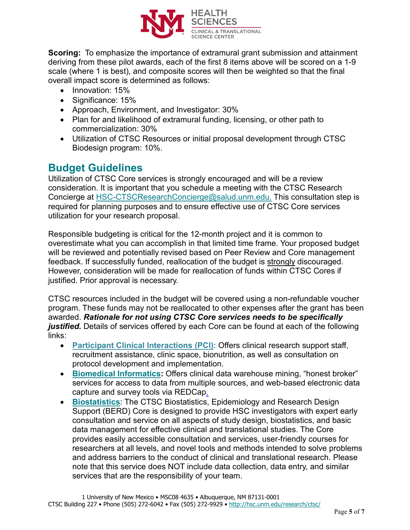

**Scoring:** To emphasize the importance of extramural grant submission and attainment deriving from these pilot awards, each of the first 8 items above will be scored on a 1-9 scale (where 1 is best), and composite scores will then be weighted so that the final overall impact score is determined as follows:

- Innovation: 15%
- Significance: 15%
- Approach, Environment, and Investigator: 30%
- Plan for and likelihood of extramural funding, licensing, or other path to commercialization: 30%
- Utilization of CTSC Resources or initial proposal development through CTSC Biodesign program: 10%.

## **Budget Guidelines**

Utilization of CTSC Core services is strongly encouraged and will be a review consideration. It is important that you schedule a meeting with the CTSC Research Concierge at [HSC-CTSCResearchConcierge@salud.unm.edu.](mailto:HSC-CTSCResearchConcierge@salud.unm.edu) This consultation step is required for planning purposes and to ensure effective use of CTSC Core services utilization for your research proposal.

Responsible budgeting is critical for the 12-month project and it is common to overestimate what you can accomplish in that limited time frame. Your proposed budget will be reviewed and potentially revised based on Peer Review and Core management feedback. If successfully funded, reallocation of the budget is strongly discouraged. However, consideration will be made for reallocation of funds within CTSC Cores if justified. Prior approval is necessary.

CTSC resources included in the budget will be covered using a non-refundable voucher program. These funds may not be reallocated to other expenses after the grant has been awarded. *Rationale for not using CTSC Core services needs to be specifically justified.* Details of services offered by each Core can be found at each of the following links:

- **[Participant Clinical Interactions \(PCI\):](https://hsc.unm.edu/ctsc/services/participant-clinical-interactions/)** Offers clinical research support staff, recruitment assistance, clinic space, bionutrition, as well as consultation on protocol development and implementation.
- **[Biomedical Informatics:](http://hsc.unm.edu/research/ctsc/informatics/index.html)** Offers clinical data warehouse mining, "honest broker" services for access to data from multiple sources, and web-based electronic data capture and survey tools via REDCap.
- **[Biostatistics](http://hsc.unm.edu/research/ctsc/biostatistics/index.html)**: The CTSC Biostatistics, Epidemiology and Research Design Support (BERD) Core is designed to provide HSC investigators with expert early consultation and service on all aspects of study design, biostatistics, and basic data management for effective clinical and translational studies. The Core provides easily accessible consultation and services, user-friendly courses for researchers at all levels, and novel tools and methods intended to solve problems and address barriers to the conduct of clinical and translational research. Please note that this service does NOT include data collection, data entry, and similar services that are the responsibility of your team.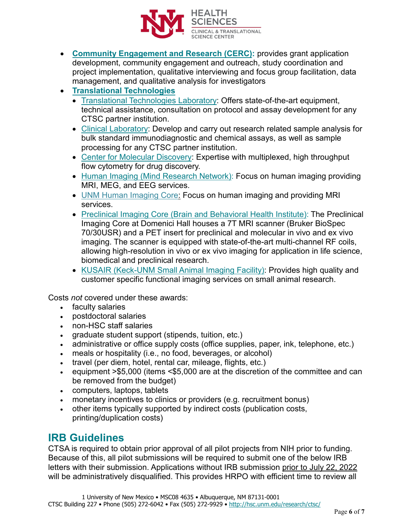

- **[Community Engagement and Research \(CERC\):](https://hsc.unm.edu/ctsc/services/cerc/)** provides grant application development, community engagement and outreach, study coordination and project implementation, qualitative interviewing and focus group facilitation, data management, and qualitative analysis for investigators
- **[Translational Technologies](http://hsc.unm.edu/research/ctsc/translational-and-clinical-laboratories/index.html)**
	- [Translational Technologies Laboratory:](http://hsc.unm.edu/research/ctsc/translational-and-clinical-laboratories/translational-laboratory/index.html) Offers state-of-the-art equipment, technical assistance, consultation on protocol and assay development for any CTSC partner institution.
	- [Clinical Laboratory:](http://hsc.unm.edu/research/ctsc/translational-and-clinical-laboratories/clinical-laboratory/index.html) Develop and carry out research related sample analysis for bulk standard immunodiagnostic and chemical assays, as well as sample processing for any CTSC partner institution.
	- [Center for Molecular Discovery:](http://nmmlsc.health.unm.edu/) Expertise with multiplexed, high throughput flow cytometry for drug discovery.
	- [Human Imaging \(Mind Research Network\):](https://www.mrn.org/collaborate/imaging-services-and-capabilities) Focus on human imaging providing MRI, MEG, and EEG services.
	- [UNM Human Imaging Core:](https://hsc.unm.edu/research/hirc/index.html) Focus on human imaging and providing MRI services.
	- [Preclinical Imaging Core \(Brain and Behavioral Health Institute\):](https://hsc.unm.edu/research/centers-programs/bbhi/bbhi-research-programs/bbhi-preclinical-core.html) The Preclinical Imaging Core at Domenici Hall houses a 7T MRI scanner (Bruker BioSpec 70/30USR) and a PET insert for preclinical and molecular in vivo and ex vivo imaging. The scanner is equipped with state-of-the-art multi-channel RF coils, allowing high-resolution in vivo or ex vivo imaging for application in life science, biomedical and preclinical research.
	- [KUSAIR \(Keck-UNM Small Animal Imaging Facility\):](http://kusair.unm.edu/) Provides high quality and customer specific functional imaging services on small animal research.

Costs *not* covered under these awards:

- faculty salaries
- postdoctoral salaries
- non-HSC staff salaries
- graduate student support (stipends, tuition, etc.)
- administrative or office supply costs (office supplies, paper, ink, telephone, etc.)
- meals or hospitality (i.e., no food, beverages, or alcohol)
- travel (per diem, hotel, rental car, mileage, flights, etc.)
- equipment >\$5,000 (items <\$5,000 are at the discretion of the committee and can be removed from the budget)
- computers, laptops, tablets
- monetary incentives to clinics or providers (e.g. recruitment bonus)
- other items typically supported by indirect costs (publication costs, printing/duplication costs)

#### **IRB Guidelines**

CTSA is required to obtain prior approval of all pilot projects from NIH prior to funding. Because of this, all pilot submissions will be required to submit one of the below IRB letters with their submission. Applications without IRB submission prior to July 22, 2022 will be administratively disqualified. This provides HRPO with efficient time to review all